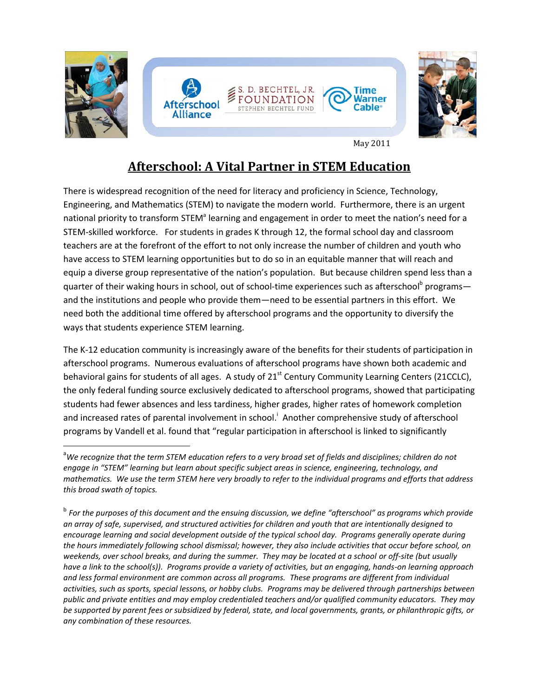

May 2011

# **Afterschool: A Vital Partner in STEM Education**

There is widespread recognition of the need for literacy and proficiency in Science, Technology, Engineering, and Mathematics (STEM) to navigate the modern world. Furthermore, there is an urgent national priority to transform STEM<sup>a</sup> learning and engagement in order to meet the nation's need for a STEM-skilled workforce. For students in grades K through 12, the formal school day and classroom teachers are at the forefront of the effort to not only increase the number of children and youth who have access to STEM learning opportunities but to do so in an equitable manner that will reach and equip a diverse group representative of the nation's population. But because children spend less than a quarter of their waking hours in school, out of school-time experiences such as afterschool<sup>b</sup> programs and the institutions and people who provide them—need to be essential partners in this effort. We need both the additional time offered by afterschool programs and the opportunity to diversify the ways that students experience STEM learning.

The K-12 education community is increasingly aware of the benefits for their students of participation in afterschool programs. Numerous evaluations of afterschool programs have shown both academic and behavioral gains for students of all ages. A study of 21<sup>st</sup> Century Community Learning Centers (21CCLC), the only federal funding source exclusively dedicated to afterschool programs, showed that participating students had fewer absences and less tardiness, higher grades, higher rates of homework completion and increased rates of parental involvement in school.<sup>i</sup> Another comprehensive study of afterschool programs by Vandell et al. found that "regular participation in afterschool is linked to significantly

 $\overline{a}$ 

<sup>a</sup>*We recognize that the term STEM education refers to a very broad set of fields and disciplines; children do not engage in "STEM" learning but learn about specific subject areas in science, engineering, technology, and mathematics. We use the term STEM here very broadly to refer to the individual programs and efforts that address this broad swath of topics.* 

b *For the purposes of this document and the ensuing discussion, we define "afterschool" as programs which provide an array of safe, supervised, and structured activities for children and youth that are intentionally designed to encourage learning and social development outside of the typical school day. Programs generally operate during the hours immediately following school dismissal; however, they also include activities that occur before school, on weekends, over school breaks, and during the summer. They may be located at a school or off-site (but usually have a link to the school(s)). Programs provide a variety of activities, but an engaging, hands-on learning approach and less formal environment are common across all programs. These programs are different from individual activities, such as sports, special lessons, or hobby clubs. Programs may be delivered through partnerships between public and private entities and may employ credentialed teachers and/or qualified community educators. They may be supported by parent fees or subsidized by federal, state, and local governments, grants, or philanthropic gifts, or any combination of these resources.*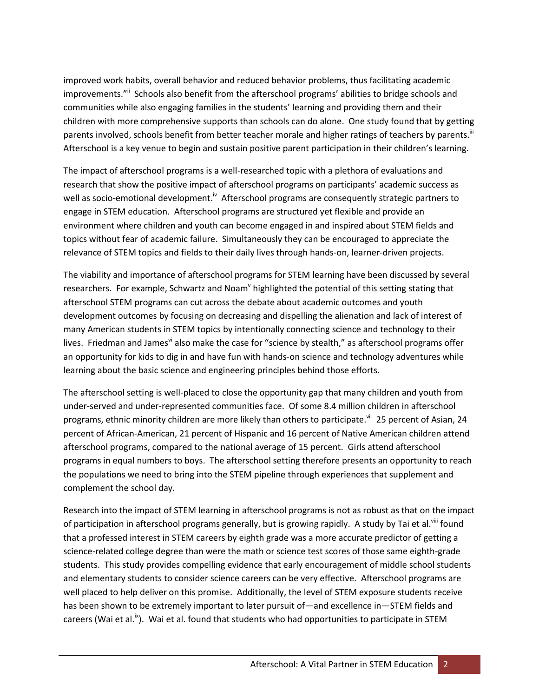improved work habits, overall behavior and reduced behavior problems, thus facilitating academic improvements."<sup>ii</sup> Schools also benefit from the afterschool programs' abilities to bridge schools and communities while also engaging families in the students' learning and providing them and their children with more comprehensive supports than schools can do alone. One study found that by getting parents involved, schools benefit from better teacher morale and higher ratings of teachers by parents.<sup>iii</sup> Afterschool is a key venue to begin and sustain positive parent participation in their children's learning.

The impact of afterschool programs is a well-researched topic with a plethora of evaluations and research that show the positive impact of afterschool programs on participants' academic success as well as socio-emotional development.<sup>iv</sup> Afterschool programs are consequently strategic partners to engage in STEM education. Afterschool programs are structured yet flexible and provide an environment where children and youth can become engaged in and inspired about STEM fields and topics without fear of academic failure. Simultaneously they can be encouraged to appreciate the relevance of STEM topics and fields to their daily lives through hands-on, learner-driven projects.

The viability and importance of afterschool programs for STEM learning have been discussed by several researchers. For example, Schwartz and Noam<sup>v</sup> highlighted the potential of this setting stating that afterschool STEM programs can cut across the debate about academic outcomes and youth development outcomes by focusing on decreasing and dispelling the alienation and lack of interest of many American students in STEM topics by intentionally connecting science and technology to their lives. Friedman and James also make the case for "science by stealth," as afterschool programs offer an opportunity for kids to dig in and have fun with hands-on science and technology adventures while learning about the basic science and engineering principles behind those efforts.

The afterschool setting is well-placed to close the opportunity gap that many children and youth from under-served and under-represented communities face. Of some 8.4 million children in afterschool programs, ethnic minority children are more likely than others to participate.<sup>vii</sup> 25 percent of Asian, 24 percent of African-American, 21 percent of Hispanic and 16 percent of Native American children attend afterschool programs, compared to the national average of 15 percent. Girls attend afterschool programs in equal numbers to boys. The afterschool setting therefore presents an opportunity to reach the populations we need to bring into the STEM pipeline through experiences that supplement and complement the school day.

Research into the impact of STEM learning in afterschool programs is not as robust as that on the impact of participation in afterschool programs generally, but is growing rapidly. A study by Tai et al.<sup>viii</sup> found that a professed interest in STEM careers by eighth grade was a more accurate predictor of getting a science-related college degree than were the math or science test scores of those same eighth-grade students. This study provides compelling evidence that early encouragement of middle school students and elementary students to consider science careers can be very effective. Afterschool programs are well placed to help deliver on this promise. Additionally, the level of STEM exposure students receive has been shown to be extremely important to later pursuit of—and excellence in—STEM fields and careers (Wai et al.<sup>ix</sup>). Wai et al. found that students who had opportunities to participate in STEM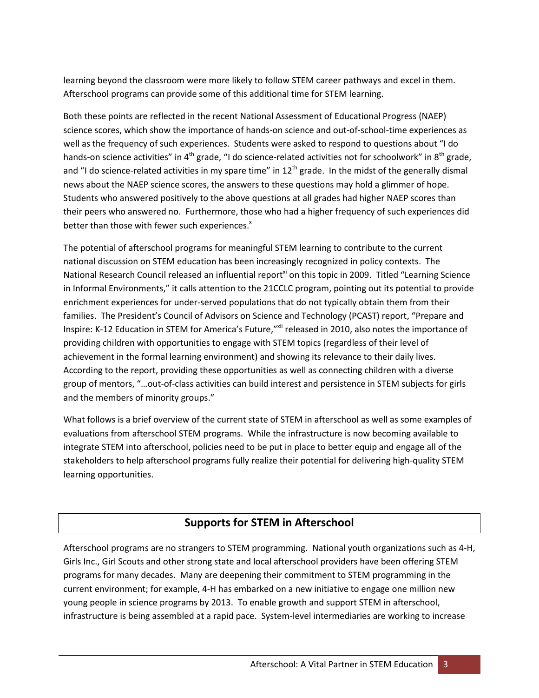learning beyond the classroom were more likely to follow STEM career pathways and excel in them. Afterschool programs can provide some of this additional time for STEM learning.

Both these points are reflected in the recent National Assessment of Educational Progress (NAEP) science scores, which show the importance of hands-on science and out-of-school-time experiences as well as the frequency of such experiences. Students were asked to respond to questions about "I do hands-on science activities" in  $4<sup>th</sup>$  grade, "I do science-related activities not for schoolwork" in  $8<sup>th</sup>$  grade, and "I do science-related activities in my spare time" in  $12<sup>th</sup>$  grade. In the midst of the generally dismal news about the NAEP science scores, the answers to these questions may hold a glimmer of hope. Students who answered positively to the above questions at all grades had higher NAEP scores than their peers who answered no. Furthermore, those who had a higher frequency of such experiences did better than those with fewer such experiences.<sup>x</sup>

The potential of afterschool programs for meaningful STEM learning to contribute to the current national discussion on STEM education has been increasingly recognized in policy contexts. The National Research Council released an influential report<sup>xi</sup> on this topic in 2009. Titled "Learning Science" in Informal Environments," it calls attention to the 21CCLC program, pointing out its potential to provide enrichment experiences for under-served populations that do not typically obtain them from their families. The President's Council of Advisors on Science and Technology (PCAST) report, "Prepare and Inspire: K-12 Education in STEM for America's Future,"<sup>xii</sup> released in 2010, also notes the importance of providing children with opportunities to engage with STEM topics (regardless of their level of achievement in the formal learning environment) and showing its relevance to their daily lives. According to the report, providing these opportunities as well as connecting children with a diverse group of mentors, "…out-of-class activities can build interest and persistence in STEM subjects for girls and the members of minority groups."

What follows is a brief overview of the current state of STEM in afterschool as well as some examples of evaluations from afterschool STEM programs. While the infrastructure is now becoming available to integrate STEM into afterschool, policies need to be put in place to better equip and engage all of the stakeholders to help afterschool programs fully realize their potential for delivering high-quality STEM learning opportunities.

## **Supports for STEM in Afterschool**

Afterschool programs are no strangers to STEM programming. National youth organizations such as 4-H, Girls Inc., Girl Scouts and other strong state and local afterschool providers have been offering STEM programs for many decades. Many are deepening their commitment to STEM programming in the current environment; for example, 4-H has embarked on a new initiative to engage one million new young people in science programs by 2013. To enable growth and support STEM in afterschool, infrastructure is being assembled at a rapid pace. System-level intermediaries are working to increase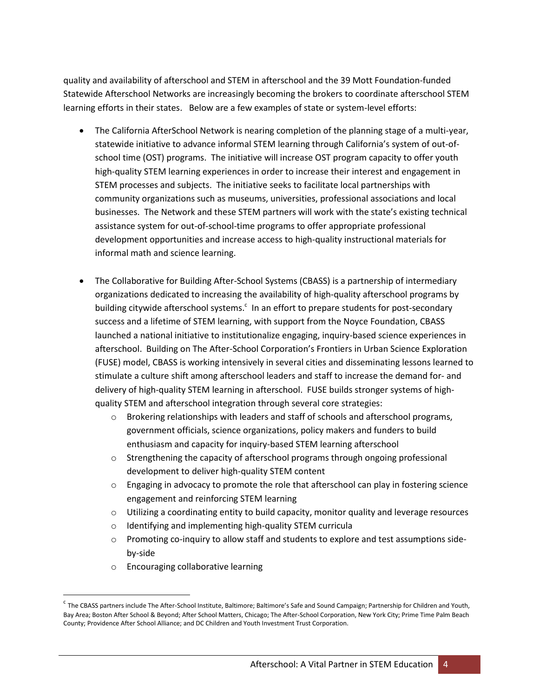quality and availability of afterschool and STEM in afterschool and the 39 Mott Foundation-funded Statewide Afterschool Networks are increasingly becoming the brokers to coordinate afterschool STEM learning efforts in their states. Below are a few examples of state or system-level efforts:

- The California AfterSchool Network is nearing completion of the planning stage of a multi-year, statewide initiative to advance informal STEM learning through California's system of out-ofschool time (OST) programs. The initiative will increase OST program capacity to offer youth high-quality STEM learning experiences in order to increase their interest and engagement in STEM processes and subjects. The initiative seeks to facilitate local partnerships with community organizations such as museums, universities, professional associations and local businesses. The Network and these STEM partners will work with the state's existing technical assistance system for out-of-school-time programs to offer appropriate professional development opportunities and increase access to high-quality instructional materials for informal math and science learning.
- The Collaborative for Building After-School Systems (CBASS) is a partnership of intermediary organizations dedicated to increasing the availability of high-quality afterschool programs by building citywide afterschool systems. $\mathfrak{c}$  In an effort to prepare students for post-secondary success and a lifetime of STEM learning, with support from the Noyce Foundation, CBASS launched a national initiative to institutionalize engaging, inquiry-based science experiences in afterschool. Building on The After-School Corporation's Frontiers in Urban Science Exploration (FUSE) model, CBASS is working intensively in several cities and disseminating lessons learned to stimulate a culture shift among afterschool leaders and staff to increase the demand for- and delivery of high-quality STEM learning in afterschool. FUSE builds stronger systems of highquality STEM and afterschool integration through several core strategies:
	- $\circ$  Brokering relationships with leaders and staff of schools and afterschool programs, government officials, science organizations, policy makers and funders to build enthusiasm and capacity for inquiry-based STEM learning afterschool
	- $\circ$  Strengthening the capacity of afterschool programs through ongoing professional development to deliver high-quality STEM content
	- $\circ$  Engaging in advocacy to promote the role that afterschool can play in fostering science engagement and reinforcing STEM learning
	- $\circ$  Utilizing a coordinating entity to build capacity, monitor quality and leverage resources
	- o Identifying and implementing high-quality STEM curricula
	- $\circ$  Promoting co-inquiry to allow staff and students to explore and test assumptions sideby-side
	- o Encouraging collaborative learning

 $\overline{\phantom{a}}$ 

<sup>&</sup>lt;sup>c</sup> The CBASS partners include The After-School Institute, Baltimore; Baltimore's Safe and Sound Campaign; Partnership for Children and Youth, Bay Area; Boston After School & Beyond; After School Matters, Chicago; The After-School Corporation, New York City; Prime Time Palm Beach County; Providence After School Alliance; and DC Children and Youth Investment Trust Corporation.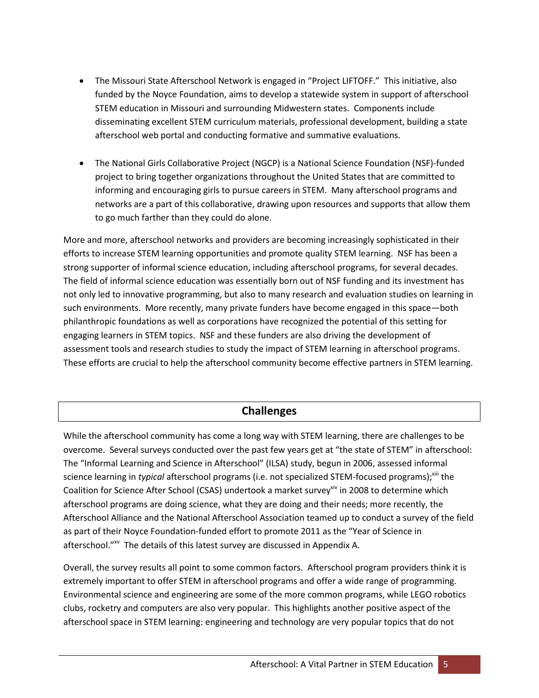- The Missouri State Afterschool Network is engaged in "Project LIFTOFF." This initiative, also funded by the Noyce Foundation, aims to develop a statewide system in support of afterschool STEM education in Missouri and surrounding Midwestern states. Components include disseminating excellent STEM curriculum materials, professional development, building a state afterschool web portal and conducting formative and summative evaluations.
- The National Girls Collaborative Project (NGCP) is a National Science Foundation (NSF)-funded project to bring together organizations throughout the United States that are committed to informing and encouraging girls to pursue careers in STEM. Many afterschool programs and networks are a part of this collaborative, drawing upon resources and supports that allow them to go much farther than they could do alone.

More and more, afterschool networks and providers are becoming increasingly sophisticated in their efforts to increase STEM learning opportunities and promote quality STEM learning. NSF has been a strong supporter of informal science education, including afterschool programs, for several decades. The field of informal science education was essentially born out of NSF funding and its investment has not only led to innovative programming, but also to many research and evaluation studies on learning in such environments. More recently, many private funders have become engaged in this space—both philanthropic foundations as well as corporations have recognized the potential of this setting for engaging learners in STEM topics. NSF and these funders are also driving the development of assessment tools and research studies to study the impact of STEM learning in afterschool programs. These efforts are crucial to help the afterschool community become effective partners in STEM learning.

## **Challenges**

While the afterschool community has come a long way with STEM learning, there are challenges to be overcome. Several surveys conducted over the past few years get at "the state of STEM" in afterschool: The "Informal Learning and Science in Afterschool" (ILSA) study, begun in 2006, assessed informal science learning in *typical* afterschool programs (i.e. not specialized STEM-focused programs);<sup>xiii</sup> the Coalition for Science After School (CSAS) undertook a market survey<sup>xiv</sup> in 2008 to determine which afterschool programs are doing science, what they are doing and their needs; more recently, the Afterschool Alliance and the National Afterschool Association teamed up to conduct a survey of the field as part of their Noyce Foundation-funded effort to promote 2011 as the "Year of Science in afterschool."<sup>xv</sup> The details of this latest survey are discussed in Appendix A.

Overall, the survey results all point to some common factors. Afterschool program providers think it is extremely important to offer STEM in afterschool programs and offer a wide range of programming. Environmental science and engineering are some of the more common programs, while LEGO robotics clubs, rocketry and computers are also very popular. This highlights another positive aspect of the afterschool space in STEM learning: engineering and technology are very popular topics that do not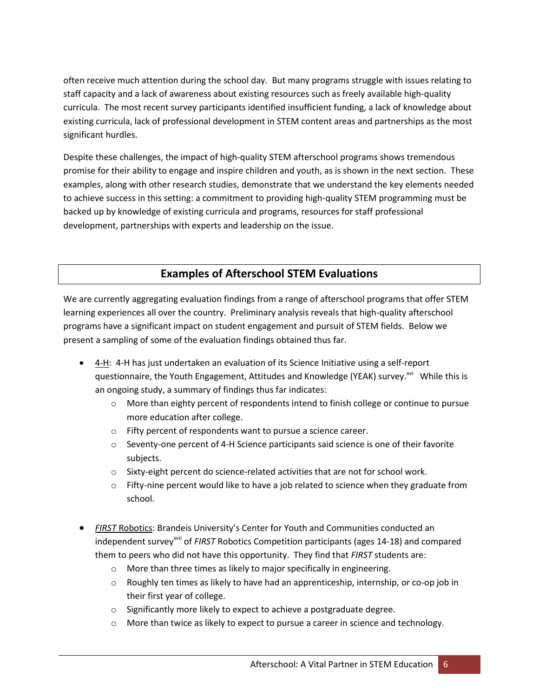often receive much attention during the school day. But many programs struggle with issues relating to staff capacity and a lack of awareness about existing resources such as freely available high-quality curricula. The most recent survey participants identified insufficient funding, a lack of knowledge about existing curricula, lack of professional development in STEM content areas and partnerships as the most significant hurdles.

Despite these challenges, the impact of high-quality STEM afterschool programs shows tremendous promise for their ability to engage and inspire children and youth, as is shown in the next section. These examples, along with other research studies, demonstrate that we understand the key elements needed to achieve success in this setting: a commitment to providing high-quality STEM programming must be backed up by knowledge of existing curricula and programs, resources for staff professional development, partnerships with experts and leadership on the issue.

## **Examples of Afterschool STEM Evaluations**

We are currently aggregating evaluation findings from a range of afterschool programs that offer STEM learning experiences all over the country. Preliminary analysis reveals that high-quality afterschool programs have a significant impact on student engagement and pursuit of STEM fields. Below we present a sampling of some of the evaluation findings obtained thus far.

- 4-H: 4-H has just undertaken an evaluation of its Science Initiative using a self-report questionnaire, the Youth Engagement, Attitudes and Knowledge (YEAK) survey.<sup>xvi</sup> While this is an ongoing study, a summary of findings thus far indicates:
	- o More than eighty percent of respondents intend to finish college or continue to pursue more education after college.
	- o Fifty percent of respondents want to pursue a science career.
	- $\circ$  Seventy-one percent of 4-H Science participants said science is one of their favorite subjects.
	- $\circ$  Sixty-eight percent do science-related activities that are not for school work.
	- $\circ$  Fifty-nine percent would like to have a job related to science when they graduate from school.
- *FIRST* Robotics: Brandeis University's Center for Youth and Communities conducted an independent survey<sup>xvii</sup> of *FIRST* Robotics Competition participants (ages 14-18) and compared them to peers who did not have this opportunity. They find that *FIRST* students are:
	- o More than three times as likely to major specifically in engineering.
	- $\circ$  Roughly ten times as likely to have had an apprenticeship, internship, or co-op job in their first year of college.
	- o Significantly more likely to expect to achieve a postgraduate degree.
	- $\circ$  More than twice as likely to expect to pursue a career in science and technology.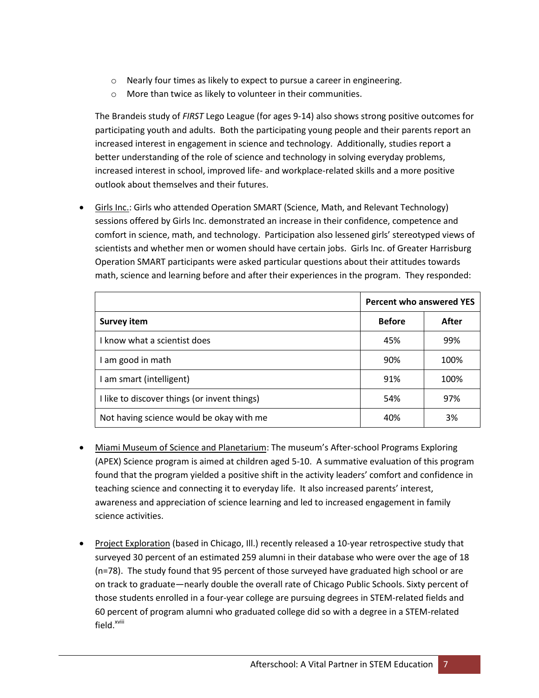- o Nearly four times as likely to expect to pursue a career in engineering.
- o More than twice as likely to volunteer in their communities.

The Brandeis study of *FIRST* Lego League (for ages 9-14) also shows strong positive outcomes for participating youth and adults. Both the participating young people and their parents report an increased interest in engagement in science and technology. Additionally, studies report a better understanding of the role of science and technology in solving everyday problems, increased interest in school, improved life- and workplace-related skills and a more positive outlook about themselves and their futures.

Girls Inc.: Girls who attended Operation SMART (Science, Math, and Relevant Technology) sessions offered by Girls Inc. demonstrated an increase in their confidence, competence and comfort in science, math, and technology. Participation also lessened girls' stereotyped views of scientists and whether men or women should have certain jobs. Girls Inc. of Greater Harrisburg Operation SMART participants were asked particular questions about their attitudes towards math, science and learning before and after their experiences in the program. They responded:

|                                              | <b>Percent who answered YES</b> |       |
|----------------------------------------------|---------------------------------|-------|
| <b>Survey item</b>                           | <b>Before</b>                   | After |
| I know what a scientist does                 | 45%                             | 99%   |
| I am good in math                            | 90%                             | 100%  |
| am smart (intelligent)                       | 91%                             | 100%  |
| I like to discover things (or invent things) | 54%                             | 97%   |
| Not having science would be okay with me     | 40%                             | 3%    |

- Miami Museum of Science and Planetarium: The museum's After-school Programs Exploring (APEX) Science program is aimed at children aged 5-10. A summative evaluation of this program found that the program yielded a positive shift in the activity leaders' comfort and confidence in teaching science and connecting it to everyday life. It also increased parents' interest, awareness and appreciation of science learning and led to increased engagement in family science activities.
- Project Exploration (based in Chicago, III.) recently released a 10-year retrospective study that surveyed 30 percent of an estimated 259 alumni in their database who were over the age of 18 (n=78). The study found that 95 percent of those surveyed have graduated high school or are on track to graduate—nearly double the overall rate of Chicago Public Schools. Sixty percent of those students enrolled in a four-year college are pursuing degrees in STEM-related fields and 60 percent of program alumni who graduated college did so with a degree in a STEM-related field.<sup>xviii</sup>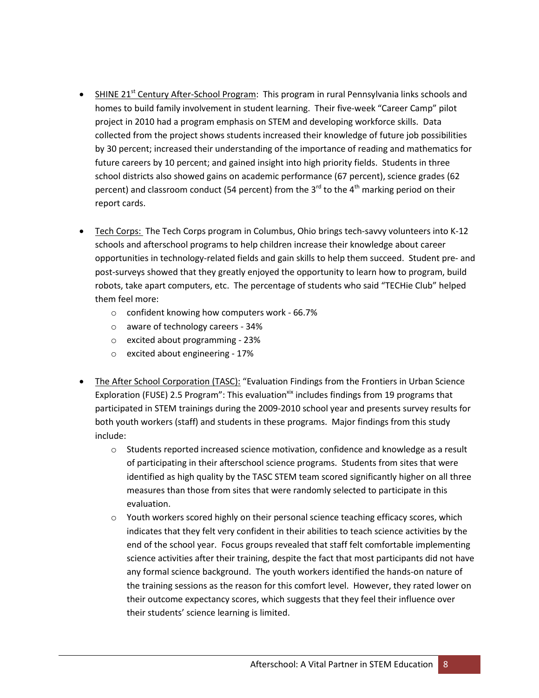- **SHINE 21**<sup>st</sup> Century After-School Program: This program in rural Pennsylvania links schools and homes to build family involvement in student learning. Their five-week "Career Camp" pilot project in 2010 had a program emphasis on STEM and developing workforce skills. Data collected from the project shows students increased their knowledge of future job possibilities by 30 percent; increased their understanding of the importance of reading and mathematics for future careers by 10 percent; and gained insight into high priority fields. Students in three school districts also showed gains on academic performance (67 percent), science grades (62 percent) and classroom conduct (54 percent) from the 3<sup>rd</sup> to the 4<sup>th</sup> marking period on their report cards.
- Tech Corps: The Tech Corps program in Columbus, Ohio brings tech-savvy volunteers into K-12 schools and afterschool programs to help children increase their knowledge about career opportunities in technology-related fields and gain skills to help them succeed. Student pre- and post-surveys showed that they greatly enjoyed the opportunity to learn how to program, build robots, take apart computers, etc. The percentage of students who said "TECHie Club" helped them feel more:
	- o confident knowing how computers work 66.7%
	- o aware of technology careers 34%
	- o excited about programming 23%
	- o excited about engineering 17%
- The After School Corporation (TASC): "Evaluation Findings from the Frontiers in Urban Science Exploration (FUSE) 2.5 Program": This evaluation<sup>xix</sup> includes findings from 19 programs that participated in STEM trainings during the 2009-2010 school year and presents survey results for both youth workers (staff) and students in these programs. Major findings from this study include:
	- o Students reported increased science motivation, confidence and knowledge as a result of participating in their afterschool science programs. Students from sites that were identified as high quality by the TASC STEM team scored significantly higher on all three measures than those from sites that were randomly selected to participate in this evaluation.
	- $\circ$  Youth workers scored highly on their personal science teaching efficacy scores, which indicates that they felt very confident in their abilities to teach science activities by the end of the school year. Focus groups revealed that staff felt comfortable implementing science activities after their training, despite the fact that most participants did not have any formal science background. The youth workers identified the hands-on nature of the training sessions as the reason for this comfort level. However, they rated lower on their outcome expectancy scores, which suggests that they feel their influence over their students' science learning is limited.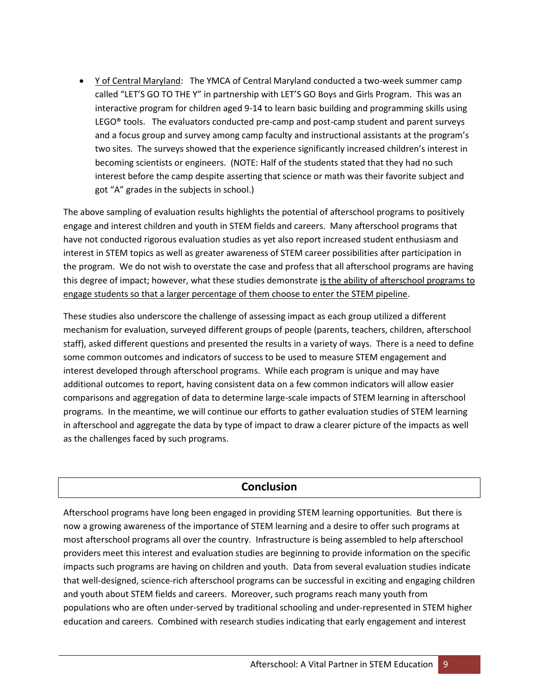Y of Central Maryland: The YMCA of Central Maryland conducted a two-week summer camp called "LET'S GO TO THE Y" in partnership with LET'S GO Boys and Girls Program. This was an interactive program for children aged 9-14 to learn basic building and programming skills using LEGO $\degree$  tools. The evaluators conducted pre-camp and post-camp student and parent surveys and a focus group and survey among camp faculty and instructional assistants at the program's two sites. The surveys showed that the experience significantly increased children's interest in becoming scientists or engineers. (NOTE: Half of the students stated that they had no such interest before the camp despite asserting that science or math was their favorite subject and got "A" grades in the subjects in school.)

The above sampling of evaluation results highlights the potential of afterschool programs to positively engage and interest children and youth in STEM fields and careers. Many afterschool programs that have not conducted rigorous evaluation studies as yet also report increased student enthusiasm and interest in STEM topics as well as greater awareness of STEM career possibilities after participation in the program. We do not wish to overstate the case and profess that all afterschool programs are having this degree of impact; however, what these studies demonstrate is the ability of afterschool programs to engage students so that a larger percentage of them choose to enter the STEM pipeline.

These studies also underscore the challenge of assessing impact as each group utilized a different mechanism for evaluation, surveyed different groups of people (parents, teachers, children, afterschool staff), asked different questions and presented the results in a variety of ways. There is a need to define some common outcomes and indicators of success to be used to measure STEM engagement and interest developed through afterschool programs. While each program is unique and may have additional outcomes to report, having consistent data on a few common indicators will allow easier comparisons and aggregation of data to determine large-scale impacts of STEM learning in afterschool programs. In the meantime, we will continue our efforts to gather evaluation studies of STEM learning in afterschool and aggregate the data by type of impact to draw a clearer picture of the impacts as well as the challenges faced by such programs.

## **Conclusion**

Afterschool programs have long been engaged in providing STEM learning opportunities. But there is now a growing awareness of the importance of STEM learning and a desire to offer such programs at most afterschool programs all over the country. Infrastructure is being assembled to help afterschool providers meet this interest and evaluation studies are beginning to provide information on the specific impacts such programs are having on children and youth. Data from several evaluation studies indicate that well-designed, science-rich afterschool programs can be successful in exciting and engaging children and youth about STEM fields and careers. Moreover, such programs reach many youth from populations who are often under-served by traditional schooling and under-represented in STEM higher education and careers. Combined with research studies indicating that early engagement and interest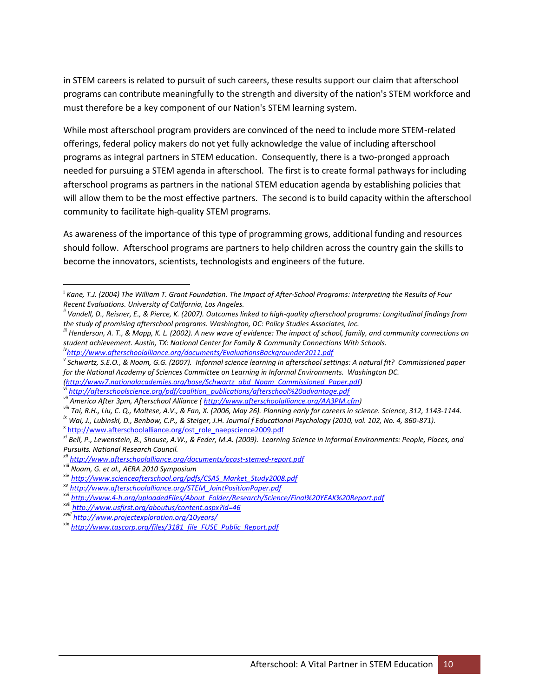in STEM careers is related to pursuit of such careers, these results support our claim that afterschool programs can contribute meaningfully to the strength and diversity of the nation's STEM workforce and must therefore be a key component of our Nation's STEM learning system.

While most afterschool program providers are convinced of the need to include more STEM-related offerings, federal policy makers do not yet fully acknowledge the value of including afterschool programs as integral partners in STEM education. Consequently, there is a two-pronged approach needed for pursuing a STEM agenda in afterschool. The first is to create formal pathways for including afterschool programs as partners in the national STEM education agenda by establishing policies that will allow them to be the most effective partners. The second is to build capacity within the afterschool community to facilitate high-quality STEM programs.

As awareness of the importance of this type of programming grows, additional funding and resources should follow. Afterschool programs are partners to help children across the country gain the skills to become the innovators, scientists, technologists and engineers of the future.

*[\(http://www7.nationalacademies.org/bose/Schwartz\\_abd\\_Noam\\_Commissioned\\_Paper.pdf\)](http://www7.nationalacademies.org/bose/Schwartz_abd_Noam_Commissioned_Paper.pdf)* 

vi *[http://afterschoolscience.org/pdf/coalition\\_publications/afterschool%20advantage.pdf](http://afterschoolscience.org/pdf/coalition_publications/afterschool%20advantage.pdf)*

<sup>x</sup> [http://www.afterschoolalliance.org/ost\\_role\\_naepscience2009.pdf](http://www.afterschoolalliance.org/ost_role_naepscience2009.pdf)

 $\overline{\phantom{a}}$ 

<sup>&</sup>lt;sup>i</sup> Kane, T.J. (2004) The William T. Grant Foundation. The Impact of After-School Programs: Interpreting the Results of Four *Recent Evaluations. University of California, Los Angeles.*

*ii Vandell, D., Reisner, E., & Pierce, K. (2007). Outcomes linked to high-quality afterschool programs: Longitudinal findings from the study of promising afterschool programs. Washington, DC: Policy Studies Associates, Inc.*

*iii Henderson, A. T., & Mapp, K. L. (2002). A new wave of evidence: The impact of school, family, and community connections on student achievement. Austin, TX: National Center for Family & Community Connections With Schools.*

*iv<http://www.afterschoolalliance.org/documents/EvaluationsBackgrounder2011.pdf>*

*v Schwartz, S.E.O., & Noam, G.G. (2007). Informal science learning in afterschool settings: A natural fit? Commissioned paper for the National Academy of Sciences Committee on Learning in Informal Environments. Washington DC.* 

*vii America After 3pm, Afterschool Alliance [\( http://www.afterschoolalliance.org/AA3PM.cfm\)](http://www.afterschoolalliance.org/AA3PM.cfm)*

*viii Tai, R.H., Liu, C. Q., Maltese, A.V., & Fan, X. (2006, May 26). Planning early for careers in science. Science, 312, 1143-1144.*

*ix Wai, J., Lubinski, D., Benbow, C.P., & Steiger, J.H. Journal f Educational Psychology (2010, vol. 102, No. 4, 860-871).*

*xi Bell, P., Lewenstein, B., Shouse, A.W., & Feder, M.A. (2009). Learning Science in Informal Environments: People, Places, and Pursuits. National Research Council.*

*xii <http://www.afterschoolalliance.org/documents/pcast-stemed-report.pdf>*

xiii *Noam, G. et al., AERA 2010 Symposium*

xiv *[http://www.scienceafterschool.org/pdfs/CSAS\\_Market\\_Study2008.pdf](http://www.scienceafterschool.org/pdfs/CSAS_Market_Study2008.pdf)*

xv *[http://www.afterschoolalliance.org/STEM\\_JointPositionPaper.pdf](http://www.afterschoolalliance.org/STEM_JointPositionPaper.pdf)*

xvi *[http://www.4-h.org/uploadedFiles/About\\_Folder/Research/Science/Final%20YEAK%20Report.pdf](http://www.4-h.org/uploadedFiles/About_Folder/Research/Science/Final%20YEAK%20Report.pdf)*

xvii *<http://www.usfirst.org/aboutus/content.aspx?id=46>*

*xviii <http://www.projectexploration.org/10years/>*

xix *[http://www.tascorp.org/files/3181\\_file\\_FUSE\\_Public\\_Report.pdf](http://www.tascorp.org/files/3181_file_FUSE_Public_Report.pdf)*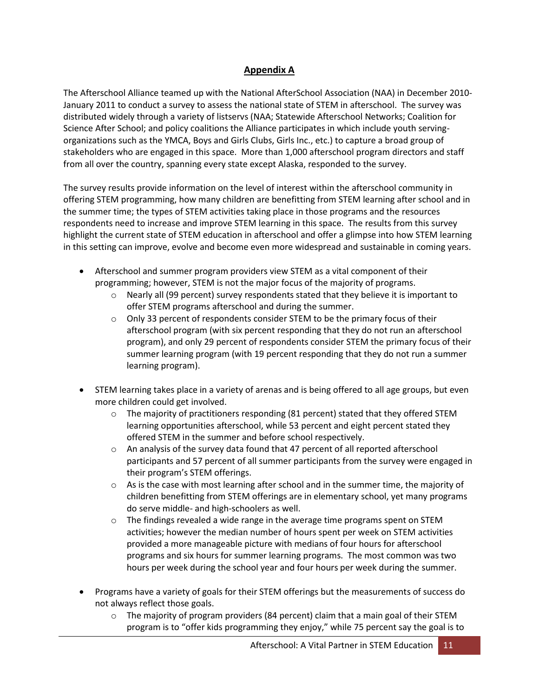### **Appendix A**

The Afterschool Alliance teamed up with the National AfterSchool Association (NAA) in December 2010- January 2011 to conduct a survey to assess the national state of STEM in afterschool. The survey was distributed widely through a variety of listservs (NAA; Statewide Afterschool Networks; Coalition for Science After School; and policy coalitions the Alliance participates in which include youth servingorganizations such as the YMCA, Boys and Girls Clubs, Girls Inc., etc.) to capture a broad group of stakeholders who are engaged in this space. More than 1,000 afterschool program directors and staff from all over the country, spanning every state except Alaska, responded to the survey.

The survey results provide information on the level of interest within the afterschool community in offering STEM programming, how many children are benefitting from STEM learning after school and in the summer time; the types of STEM activities taking place in those programs and the resources respondents need to increase and improve STEM learning in this space. The results from this survey highlight the current state of STEM education in afterschool and offer a glimpse into how STEM learning in this setting can improve, evolve and become even more widespread and sustainable in coming years.

- Afterschool and summer program providers view STEM as a vital component of their programming; however, STEM is not the major focus of the majority of programs.
	- $\circ$  Nearly all (99 percent) survey respondents stated that they believe it is important to offer STEM programs afterschool and during the summer.
	- $\circ$  Only 33 percent of respondents consider STEM to be the primary focus of their afterschool program (with six percent responding that they do not run an afterschool program), and only 29 percent of respondents consider STEM the primary focus of their summer learning program (with 19 percent responding that they do not run a summer learning program).
- STEM learning takes place in a variety of arenas and is being offered to all age groups, but even more children could get involved.
	- $\circ$  The majority of practitioners responding (81 percent) stated that they offered STEM learning opportunities afterschool, while 53 percent and eight percent stated they offered STEM in the summer and before school respectively.
	- $\circ$  An analysis of the survey data found that 47 percent of all reported afterschool participants and 57 percent of all summer participants from the survey were engaged in their program's STEM offerings.
	- $\circ$  As is the case with most learning after school and in the summer time, the majority of children benefitting from STEM offerings are in elementary school, yet many programs do serve middle- and high-schoolers as well.
	- $\circ$  The findings revealed a wide range in the average time programs spent on STEM activities; however the median number of hours spent per week on STEM activities provided a more manageable picture with medians of four hours for afterschool programs and six hours for summer learning programs. The most common was two hours per week during the school year and four hours per week during the summer.
- Programs have a variety of goals for their STEM offerings but the measurements of success do not always reflect those goals.
	- $\circ$  The majority of program providers (84 percent) claim that a main goal of their STEM program is to "offer kids programming they enjoy," while 75 percent say the goal is to